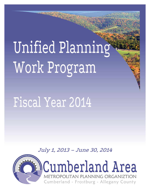Unified Planning Work Program

# Fiscal Year 2014

July 1, 2013 – June 30, 2014

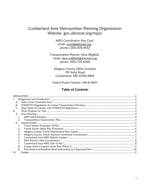## **Cumberland Area Metropolitan Planning Organization** Website: gov.allconet.org/mpo/

MPO Coordinator: Roy Cool email: rcool@allconet.org phone: (301)-876-9552

Transportation Planner: Siera Wigfield email: siera.wigfield@allconet.org phone: (301)-722-6360

Allegany County Office Complex 701 Kelly Road Cumberland, MD 21502-2803

Federal Project Number: MD-81-0007

## **Table of Contents**

| L.   |  |
|------|--|
| Α.   |  |
| В.   |  |
| C.   |  |
| 11.  |  |
| A.   |  |
| 1.   |  |
| 2.   |  |
| B.   |  |
| 1.   |  |
| 2.   |  |
| 3.   |  |
| 4.   |  |
| 5.   |  |
| 6.   |  |
| 7.   |  |
| 8.   |  |
| 9.   |  |
| III. |  |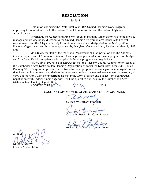## RESOLUTION

#### No. 13-9

<span id="page-2-0"></span>Resolution endorsing the Draft Fiscal Year 2014 Unified Planning Work Program, approving its submission to both the Federal Transit Administration and the Federal Highway Administration.

WHEREAS, the Cumberland Area Metropolitan Planning Organization was established to manage and provide policy direction to the Unified Planning Program in accordance with Federal requirements, and the Allegany County Commissioners have been designated as the Metropolitan Planning Organization for this area as approved by Maryland Governor Harry Hughes on May 17, 1982; and

WHEREAS, the staff of the Maryland Department of Transportation and the Allegany County Department of Community Services, have together prepared a draft work program and budget for Fiscal Year 2014 in compliance with applicable Federal programs and regulations.

NOW, THEREFORE, BE IT RESOLVED that the Allegany County Commissioners acting as the Cumberland Area Metropolitan Planning Organization endorses the Draft Fiscal Year 2014 Unified Planning Work Program; approves its submission to the appropriate Federal agencies, contingent on no significant public comment; and declares its intent to enter into contractual arrangements as necessary to carry out the work, with the understanding that if the work program and budget is revised through negotiations with Federal funding agencies it will be subject to approval by the Cumberland Area Metropolitan Planning Organization.

ADOPTED THIS  $30<sup>4</sup>$  day of  $\frac{1}{2}$   $\frac{1}{2}$   $\frac{1}{4}$   $\frac{1}{4}$   $\frac{1}{4}$   $\frac{1}{4}$   $\frac{1}{4}$   $\frac{1}{4}$   $\frac{1}{4}$   $\frac{1}{4}$   $\frac{1}{4}$   $\frac{1}{4}$   $\frac{1}{4}$   $\frac{1}{4}$   $\frac{1}{4}$   $\frac{1}{4}$   $\frac{1}{4}$   $\frac{1}{4}$   $\frac{1}{4}$ 

COUNTY COMMISSIONERS OF ALLEGANY COUNTY, MARYLAND

 $\sim$ 

Michael W. McKay, President

\_\_\_\_\_\_\_\_\_\_\_\_\_\_\_\_\_\_\_\_\_\_\_\_\_\_\_\_\_\_\_\_\_

Brodie, Jr., Commissioner

 $\mu$ illing (  $\mu$  alerty

William R. Valentine, Commissioner

ATT**E**ST<mark>:</mark>  $\Box$ David A. Eberly

County Administrator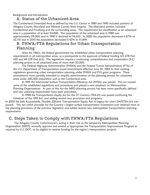<span id="page-3-1"></span><span id="page-3-0"></span>Background and Introduction

## A. Status of the Urbanized Area

The Cumberland Urbanized Area as defined by the U.S. Census in 1980 and 1990 included portions of Allegany County Maryland and Mineral County West Virginia. The Maryland portion included Cumberland and Frostburg and the surrounding areas. The requirement for classification as an urbanized area is a population of at least 50,000. The population of the urbanized area in 1980 was approximately 59,000, and in 1990 it declined to 54,655. In 2000 the population decreased 4.87% to 52,115 and in 2010 the population decreased 0.42% to 51,899.

## <span id="page-3-2"></span>B. FHWA/FTA Regulations for Urban Transportation Planning

Since the 1960's, the federal government has established urban transportation planning requirements in all metropolitan areas, as a prerequisite to the approval of federal funding (23 CFR Part 450 and 49 CFR Part 613). The regulations require a continuing, comprehensive and cooperative (3-C) planning process in all urbanized areas of more than 50,000.

The Federal Highway Administration (FHWA) and the Federal Transit Administration (FTA) of the U.S. Department of Transportation issued amendments effective June 30, 1983 to their existing regulations governing urban transportation planning under FHWA and FTA grant programs. These amendments were partially intended to simplify administration of the planning process for urbanized areas under 200,000 population such as the Cumberland area.

In 1991 the Intermodal Surface Transportation Efficiency Act (ISTEA) was passed. This act revised some of the established regulations and procedures and placed a new emphasis on Metropolitan Planning Organizations. As part of this Act the MPO planning process has been more specifically defined and new planning requirements have been prescribed.

In 1998 the Transportation Equity Act for the  $21<sup>st</sup>$  Century (TEA-21) was passed continuing the initiatives of the 1991 Act, and adding several new provisions and programs.

In 2005 the Safe Accountable, Flexible, Efficient Transportation Equity Act: A Legacy for Users (SAFETEA-LU) was passed. This Act which provides for the Country's largest surface transportation investment ever retained most of the planning provisions of the previous legislation and added several new metropolitan transportation planning requirements.

## <span id="page-3-3"></span>C. Steps Taken to Comply with FHWA/FTA Regulations

The Allegany County Commissioners, acting in their role as the temporary Metropolitan Planning Organization (MPO), annually approve and amend as appropriate the Transportation Improvement Program as required by U.S. DOT, to be eligible to receive funding for the region's transportation projects.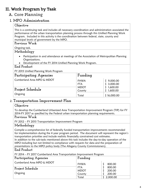# <span id="page-4-0"></span>II. Work Program by Task

## <span id="page-4-1"></span>A. Core Planning

## <span id="page-4-2"></span>**1. MPO Administration**

## **Objective**

This is a continuing task and includes all necessary coordination and administration associated the performance of the urban transportation planning process through this Unified Planning Work Program. Included in this activity is the coordination between federal, state, county and municipal levels of government by the MPO.

## **Previous Work**

Ongoing task.

## **Methodology**

- Participation in and attendance at meetings of the Association of Metropolitan Planning Organizations.
- Development of the FY 2014 Unified Planning Work Program.

## **End Product**

FY 2015 Unified Planning Work Program

| Participating Agencies                         | Funding                                            |                                              |
|------------------------------------------------|----------------------------------------------------|----------------------------------------------|
| Cumberland Area MPO & MDOT<br>Project Schedule | <b>FHWA</b><br><b>FTA</b><br><b>MDOT</b><br>County | 9,000.00<br>3,000.00<br>1,600.00<br>1,600.00 |
| Ongoing                                        | Total                                              | \$16,000.00                                  |

## <span id="page-4-3"></span>2. **Transportation Improvement Plan**

## **Objective**

To develop the Cumberland Urbanized Area Transportation Improvement Program (TIP) for FY 2014-FY 2017 as specified by the Federal urban transportation planning requirements.

## **Previous Work**

FY 2012 – FY 2015 Transportation Improvement Program

## **Methodology**

Compile a comprehensive list of federally funded transportation improvements recommended for implementation during the 4 year program period. The document will represent the region's transportation priorities and include realistic financially constrained cost estimates.

In addition to the sub-tasks mentioned above this task includes the day-to-day operation of the MPO including but not limited to compliance with requests for data and the preparation of presentations to the MPO policy body (The Allegany County Commissioners).

## **End Product**

FY 2014 – FY 2017 Cumberland Area Transportation Improvement Program

| Participating Agencies     | Funding                   |                  |
|----------------------------|---------------------------|------------------|
| Cumberland Area MPO & MDOT | <b>FHWA</b>               | 800.00           |
| Project Schedule           | <b>FTA</b><br><b>MDOT</b> | 800.00<br>200.00 |
| Ongoing                    | County                    | 200.00           |
|                            | Total                     | 2,000.00         |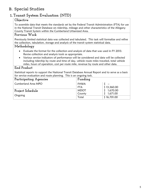# <span id="page-5-0"></span>B. Special Studies

# <span id="page-5-1"></span>1.**Transit System Evaluation (NTD)**

## **Objective**

To assemble data that meets the standards set by the Federal Transit Administration (FTA) for use in the National Transit Database on ridership, mileage and other characteristics of the Allegany County Transit System within the Cumberland Urbanized Area.

## **Previous Work**

Previously limited statistical data was collected and tabulated. This task will formalize and refine the collection, tabulation, storage and analysis of the transit system statistical data.

## **Methodology**

- Evaluate the format for the collection and analysis of data that was used in FY 2013. Revise collection and analysis tools as appropriate.
- Various service indicators of performance will be considered and data will be collected including ridership by route and time of day, vehicle route miles traveled, total vehicle miles, hours of operation, cost per route mile, revenue by route and other data.

## **End Product**

Statistical reports to support the National Transit Database Annual Report and to serve as a basis for service evaluation and route planning. This is an ongoing task.

| Participating Agencies | Funding     |             |
|------------------------|-------------|-------------|
| Cumberland Area MPO    | <b>FHWA</b> |             |
|                        | <b>FTA</b>  | \$13,360.00 |
| Project Schedule       | <b>MDOT</b> | 1,670.00    |
| Ongoing                | County      | 1,671.00    |
|                        | Total       | \$16,701.00 |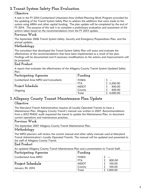## <span id="page-6-0"></span>**2. Transit System Safety Plan Evaluation**

#### **Objective**

A task in the FY 2014 Cumberland Urbanized Area Unified Planning Work Program provided for the updating of the Transit System Safety Plan to address the additions that were made to the system using ARRA and other capital funding. The plan update will be completed by the end of FY 2014. The purpose of this task is to complete a preliminary evaluation and assessment of the actions taken based on the recommendations from the FY 2013 update.

## **Previous Work**

The September 2006 Transit System Safety, Security and Emergency Preparedness Plan, and the annual updates.

## **Methodology**

The consultant that developed the Transit System Safety Plan will assess and evaluate the effectiveness of the recommendations that have been implemented as a result of the plan. Findings will be documented and if necessary modifications to the actions and improvements will be proposed.

#### **End Product**

A report that evaluates the effectiveness of the Allegany County Transit System Updated Safety Plan.

| Participating Agencies              | Funding                   |                    |
|-------------------------------------|---------------------------|--------------------|
| Cumberland Area MPO and Consultants | <b>FHWA</b><br><b>FTA</b> | $\sim$<br>3,200.00 |
| Project Schedule                    | <b>MDOT</b>               | 400.00             |
| Ongoing                             | County                    | 400.00             |
|                                     | Total                     | 4,000.00           |

## <span id="page-6-1"></span>**3. Allegany County Transit Maintenance Plan Update**

## **Objective**

The Maryland Transit Administration requires all Locally Operated Transits to have a Maintenance Plan. Allegany County Transit's manual was written in 2007. Recommendations from a 2012 PMOC audit requested the transit to update the Maintenance Plan, to document current operations and maintenance practices.

#### **Previous Work**

The September 2007 Allegany County Transit Maintenance Plan.

## **Methodology**

The MPO planners will review the current manual and other safety manuals used at Maryland Transit Administration's Locally Operated Transits. The manual will be updated and presented to the staff of Allegany County Transit.

## **End Product**

An updated Allegany County Transit Maintenance Plan and a presentation to Transit Staff.

| Participating Agencies     | Funding                   |                   |
|----------------------------|---------------------------|-------------------|
| <b>Cumberland Area MPO</b> | <b>FHWA</b><br><b>FTA</b> | $- - -$<br>800.00 |
| <b>Project Schedule</b>    | <b>MDOT</b>               | 100.00            |
| January 30, 2014           | County                    | 100.00            |
|                            | Total                     | 1,000.00          |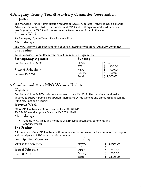## <span id="page-7-0"></span>**4. Allegany County Transit Advisory Committee Coordination**

## **Objective**

The Maryland Transit Administration requires all Locally Operated Transits to have a Transit Advisory Committee (TAC). The Cumberland MPO staff will organize and hold bi-annual meetings with the TAC to discuss and resolve transit related issues in the area.

# **Previous Work**

2012 Allegany County Transit Development Plan

## **Methodology**

The MPO staff will organize and hold bi-annual meetings with Transit Advisory Committee. **End Product**

Transit Advisory Committee meetings, with minutes and sign in sheets.

| Participating Agencies | Funding     |          |
|------------------------|-------------|----------|
| Cumberland Area MPO    | <b>FHWA</b> | $- - -$  |
|                        | FTA         | 800.00   |
| Project Schedule       | <b>MDOT</b> | 100.00   |
| January 30, 2014       | County      | 100.00   |
|                        | Total       | 1,000.00 |

# <span id="page-7-1"></span>**5.Cumberland Area MPO Website Update**

## **Objective**

Cumberland Area MPO's website layout was updated in 2013. The website is continually updated to support public participation, sharing MPO's documents and announcing upcoming MPO meetings and hearings.

## **Previous Work**

2006 MPO website creation From the FY 2007 UPWP 2013 MPO website update From the FY 2013 UPWP

## **Methodology**

 Update MPO links, and methods of displaying documents, comments and announcements.

## **End Product**

A Cumberland Area MPO website with more resources and ways for the community to respond and participate to MPO actions and documents.

| Participating Agencies | Funding                   |                 |
|------------------------|---------------------------|-----------------|
| Cumberland Area MPO    | <b>FHWA</b><br><b>FTA</b> | 6,080.00        |
| Project Schedule       | <b>MDOT</b>               | $- -$<br>700.00 |
| June 30, 2013          | County                    | 700.00          |
|                        | Total                     | 7,600.00        |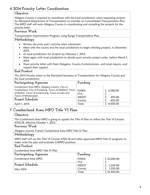# <span id="page-8-0"></span>**6. 2014 Priority Letter Coordination**

## **Objective**

Allegany County is required to coordinate with the local jurisdictions when requesting projects for Maryland Department of Transportation to consider on Consolidated Transportation Plan. The MPO staff will assist Allegany County in coordinating and compiling the projects for the priority letter.

#### **Previous Work**

Transportation Improvement Program, Long Range Transportation Plan.

#### **Methodology**

- Review the prior year's priority letter submission.
- Meet with the county and the local jurisdictions to begin selecting projects, in December 2013.
- As local jurisdictions for projects by February 1, 2014.
- Meet again with local jurisdictions to decide upon priority project order, before March 1, 2014.
- Share priority letter with State Delegates, County Commissioners, and Local mayors, and request their support.

## **End Product**

The 2014 Priority Letter to the Maryland Secretary of Transportation for Allegany County and the local jurisdictions.

| Participating Agencies                                                                                                                                                                                               | Funding                                                     |                                                     |
|----------------------------------------------------------------------------------------------------------------------------------------------------------------------------------------------------------------------|-------------------------------------------------------------|-----------------------------------------------------|
| Cumberland Area MPO, Allegany County, City of<br>Cumberland, City of Frostburg, Town of Midland, Town<br>of Barton, Town of Lonaconing, Town of Luke and<br>Town of Westernport<br>Project Schedule<br>April 1, 2014 | <b>FHWA</b><br><b>FTA</b><br><b>MDOT</b><br>County<br>Total | \$3,598.00<br>$- -$<br>450.00<br>452.00<br>4,500.00 |

# <span id="page-8-1"></span>**7. Cumberland Area MPO Title VI Plan**

## **Objective**

The Cumberland Area MPO is going to update the Title VI Plan to reflect the Title VI Circular 4702.1B, effective October 1, 2012.

#### **Previous Work**

Allegany County Transit/ Cumberland Area MPO Title IV Plan

## **Methodology**

MPO Staff will use the Title VI Circular 4702.1B and other approved MPO Title IV programs to make write the plan and evaluate CAMPO practices.

#### **End Product**

Cumberland Area MPO Title IV Plan

| Participating Agencies | Funding                   |             |
|------------------------|---------------------------|-------------|
| Cumberland Area MPO    | <b>FHWA</b>               | \$10,000.00 |
| Project Schedule       | <b>FTA</b><br><b>MDOT</b> | 1,250.00    |
| May 2014               | County                    | 1,250.00    |
|                        | Total                     | \$12,500.00 |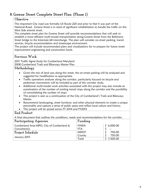## <span id="page-9-0"></span>**8. Greene Street Complete Street Plan (Phase 1)**

#### **Objective**

This important City road was formally US Route 220 and prior to that it was part of the National Road. Greene Street is in need of significant rehabilitation to handle the traffic on this West Side arterial street.

The complete street plan for Greene Street will provide recommendations that will seek to establish a more efficient multi-modal transportation along Greene Street from the Baltimore Street bridge to the Interstate 68 interchange. The plan will consider on-street parking, transit services, bicycle accommodation and streetscape environment.

The project will include recommended plans and visualizations for to prepare for future street improvement engineering and construction funds.

## **Previous Work**

2011 Traffic Signal Study for Cumberland Maryland 2008 Cumberland Trails and Bikeways Master Plan

## **Methodology**

- Given the mix of land uses along this street, the on-street parking will be analyzed and suggested for modification as appropriate.
- Traffic operations analyses along the corridor, particularly focused on bicycle and pedestrian movements will be included as part of this corridor study.
- Additional multi-modal work activities associated with this project may also include an examination of the number of existing transit stops along the corridor and the possibility of consolidating the number of stops.
- This project is seen as a continuation of the City of Cumberland's Trails and Bikeways Master.
- Recommend landscaping, street furniture, and other physical elements to create a unique personality and capture a sense of public space and reflect local culture and history.
- This project will be spread across FY 2014 and FY2015

#### **End Product**

A final document that outlines the conditions, needs and recommendations for the corridor.

| Participating Agencies                    | Funding     |            |
|-------------------------------------------|-------------|------------|
| Cumberland Area MPO, City of Cumberland & | <b>FHWA</b> | \$6,000.00 |
| Consultan(s)                              | <b>FTA</b>  | $- -$      |
| Project Schedule                          | <b>MDOT</b> | 750.00     |
|                                           | County      | 750.00     |
| January 2015                              | Total       | 7,500.00   |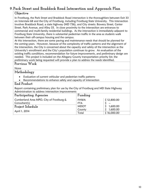# <span id="page-10-0"></span>**9. Park Street and Braddock Road Intersection and Approach Plan**

## **Objective**

In Frostburg, the Park Street and Braddock Road intersection is the thoroughfare between Exit 33 on Interstate 68 and the City of Frostburg, including Frostburg State University. This intersection involves Braddock Road, a state highway (MD 736), and City streets: Bowery Street, Center Street, Park Avenue, and Alley 33. In close proximity to the intersection are entrances to commercial and multi-family residential buildings. As the intersection is immediately adjacent to Frostburg State University, there is substantial pedestrian traffic in the area as students walk between their off-campus housing and the campus.

At this intersection, there are some paving and maintenance needs that should be planned for the coming years. However, because of the complexity of traffic patterns and the alignment of the intersection, the City is concerned about the capacity and safety of the intersection as the University's enrollment and the City's population continues to grow. An evaluation of the existing traffic conditions, recommendation for future improvements, and preliminary design are needed. This project is included on the Allegany County transportation priority list; the preliminary work being requested will provide a plan to address the needs identified.

#### **Previous Work**

None

#### **Methodology**

- Evaluation of current vehicular and pedestrian traffic patterns
- Recommendations to enhance safety and capacity of intersection

## **End Product**

Report containing preliminary plan for use by the City of Frostburg and MD State Highway Administration to address intersection improvements

| Participating Agencies                   | Funding     |                       |
|------------------------------------------|-------------|-----------------------|
| Cumberland Area MPO, City of Frostburg & | <b>FHWA</b> | \$12,800.00           |
| Consultant(s)                            | <b>FTA</b>  | $\tilde{\phantom{a}}$ |
| Project Schedule                         | <b>MDOT</b> | 1,600.00              |
|                                          | County      | 1,600.00              |
| April 1, 2014                            | Total       | \$16,000.00           |